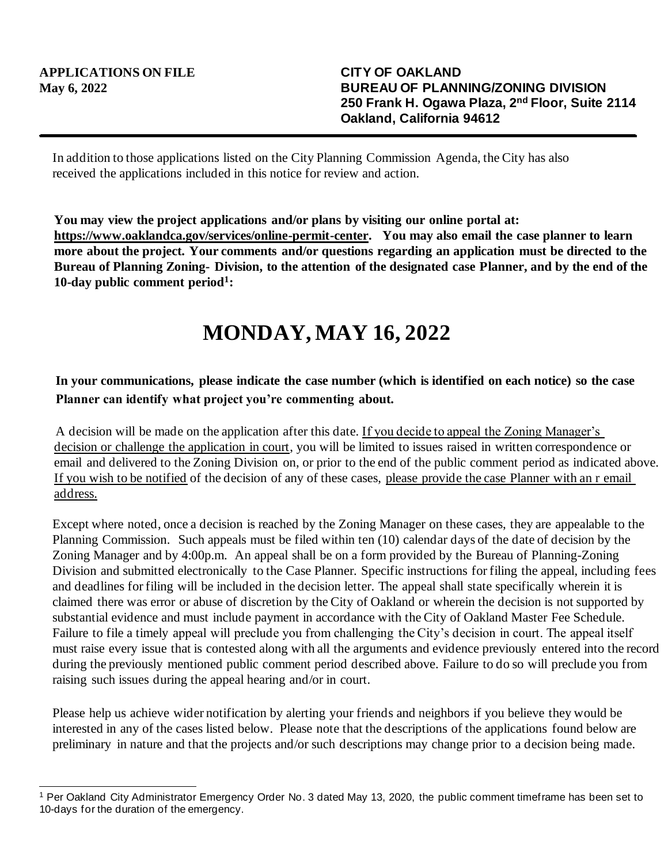In addition to those applications listed on the City Planning Commission Agenda, the City has also received the applications included in this notice for review and action.

**You may view the project applications and/or plans by visiting our online portal at: https://www.oaklandca.gov/services/online-permit-center. You may also email the case planner to learn more about the project. Your comments and/or questions regarding an application must be directed to the Bureau of Planning Zoning- Division, to the attention of the designated case Planner, and by the end of the 10-day public comment period<sup>1</sup> :**

## **MONDAY, MAY 16, 2022**

## **In your communications, please indicate the case number (which is identified on each notice) so the case Planner can identify what project you're commenting about.**

A decision will be made on the application after this date. If you decide to appeal the Zoning Manager's decision or challenge the application in court, you will be limited to issues raised in written correspondence or email and delivered to the Zoning Division on, or prior to the end of the public comment period as indicated above. If you wish to be notified of the decision of any of these cases, please provide the case Planner with an r email address.

Except where noted, once a decision is reached by the Zoning Manager on these cases, they are appealable to the Planning Commission. Such appeals must be filed within ten (10) calendar days of the date of decision by the Zoning Manager and by 4:00p.m. An appeal shall be on a form provided by the Bureau of Planning-Zoning Division and submitted electronically to the Case Planner. Specific instructions for filing the appeal, including fees and deadlines for filing will be included in the decision letter. The appeal shall state specifically wherein it is claimed there was error or abuse of discretion by the City of Oakland or wherein the decision is not supported by substantial evidence and must include payment in accordance with the City of Oakland Master Fee Schedule. Failure to file a timely appeal will preclude you from challenging the City's decision in court. The appeal itself must raise every issue that is contested along with all the arguments and evidence previously entered into the record during the previously mentioned public comment period described above. Failure to do so will preclude you from raising such issues during the appeal hearing and/or in court.

Please help us achieve wider notification by alerting your friends and neighbors if you believe they would be interested in any of the cases listed below. Please note that the descriptions of the applications found below are preliminary in nature and that the projects and/or such descriptions may change prior to a decision being made.

<sup>1</sup> Per Oakland City Administrator Emergency Order No. 3 dated May 13, 2020, the public comment timeframe has been set to 10-days for the duration of the emergency.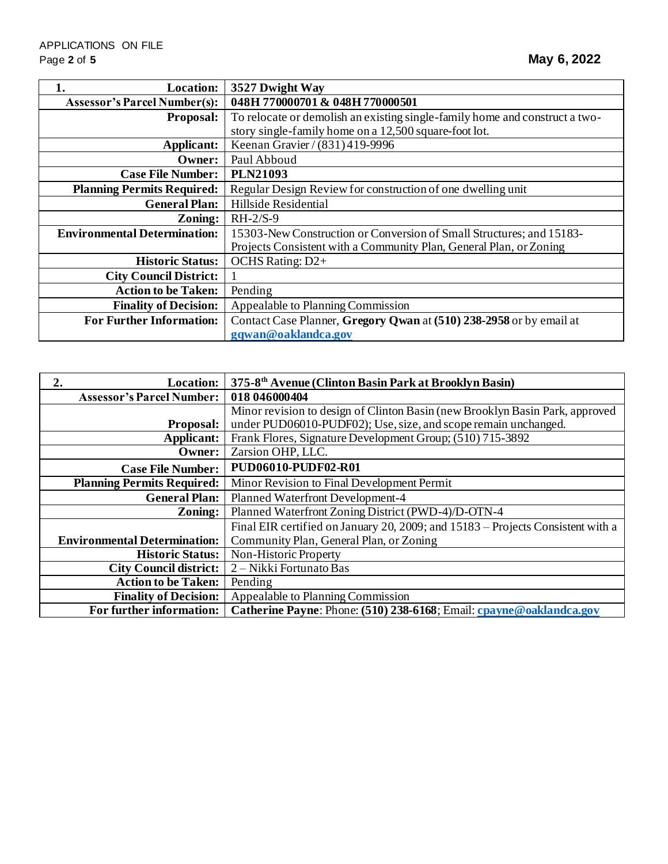| <b>Location:</b>                    | 3527 Dwight Way                                                             |
|-------------------------------------|-----------------------------------------------------------------------------|
| <b>Assessor's Parcel Number(s):</b> | 048H 770000701 & 048H 770000501                                             |
| <b>Proposal:</b>                    | To relocate or demolish an existing single-family home and construct a two- |
|                                     | story single-family home on a 12,500 square-foot lot.                       |
| Applicant:                          | Keenan Gravier / (831) 419-9996                                             |
| Owner:                              | Paul Abboud                                                                 |
| <b>Case File Number:</b>            | <b>PLN21093</b>                                                             |
| <b>Planning Permits Required:</b>   | Regular Design Review for construction of one dwelling unit                 |
| <b>General Plan:</b>                | Hillside Residential                                                        |
| Zoning:                             | $RH-2/S-9$                                                                  |
| <b>Environmental Determination:</b> | 15303-New Construction or Conversion of Small Structures; and 15183-        |
|                                     | Projects Consistent with a Community Plan, General Plan, or Zoning          |
| <b>Historic Status:</b>             | OCHS Rating: D2+                                                            |
| <b>City Council District:</b>       |                                                                             |
| <b>Action to be Taken:</b>          | Pending                                                                     |
| <b>Finality of Decision:</b>        | Appealable to Planning Commission                                           |
| <b>For Further Information:</b>     | Contact Case Planner, Gregory Qwan at (510) 238-2958 or by email at         |
|                                     | gqwan@oaklandca.gov                                                         |

| <b>Location:</b><br>2.              | 375-8 <sup>th</sup> Avenue (Clinton Basin Park at Brooklyn Basin)               |
|-------------------------------------|---------------------------------------------------------------------------------|
| <b>Assessor's Parcel Number:</b>    | 018 046000404                                                                   |
|                                     | Minor revision to design of Clinton Basin (new Brooklyn Basin Park, approved    |
| <b>Proposal:</b>                    | under PUD06010-PUDF02); Use, size, and scope remain unchanged.                  |
| Applicant:                          | Frank Flores, Signature Development Group; (510) 715-3892                       |
| Owner:                              | Zarsion OHP, LLC.                                                               |
| <b>Case File Number:</b>            | PUD06010-PUDF02-R01                                                             |
| <b>Planning Permits Required:</b>   | Minor Revision to Final Development Permit                                      |
| <b>General Plan:</b>                | Planned Waterfront Development-4                                                |
| Zoning:                             | Planned Waterfront Zoning District (PWD-4)/D-OTN-4                              |
|                                     | Final EIR certified on January 20, 2009; and 15183 – Projects Consistent with a |
| <b>Environmental Determination:</b> | Community Plan, General Plan, or Zoning                                         |
| <b>Historic Status:</b>             | Non-Historic Property                                                           |
| <b>City Council district:</b>       | 2 – Nikki Fortunato Bas                                                         |
| <b>Action to be Taken:</b>          | Pending                                                                         |
| <b>Finality of Decision:</b>        | Appealable to Planning Commission                                               |
| For further information:            | Catherine Payne: Phone: (510) 238-6168; Email: cpayne@oaklandca.gov             |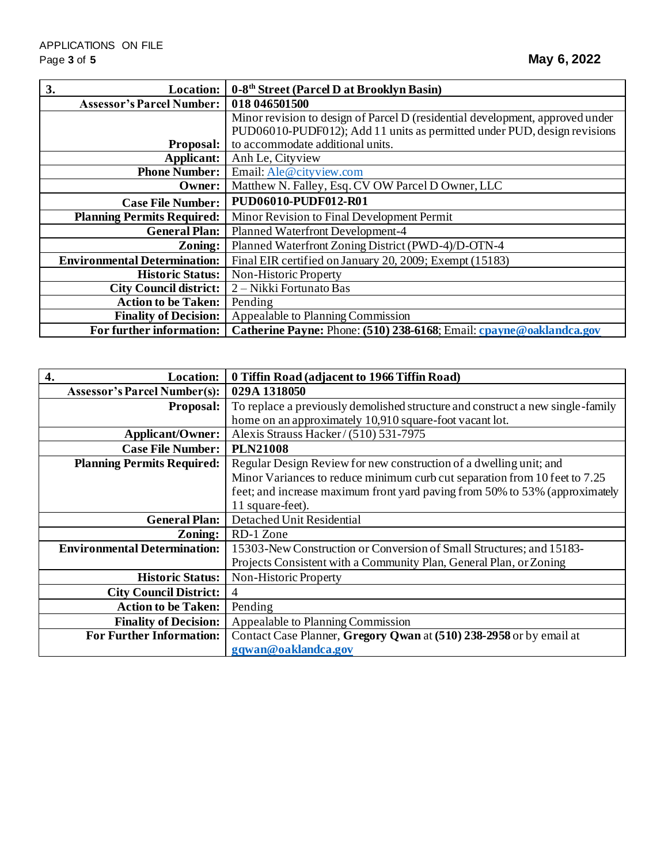| 3.<br><b>Location:</b>              | 0-8 <sup>th</sup> Street (Parcel D at Brooklyn Basin)                         |
|-------------------------------------|-------------------------------------------------------------------------------|
| <b>Assessor's Parcel Number:</b>    | 018 046501500                                                                 |
|                                     | Minor revision to design of Parcel D (residential development, approved under |
|                                     | PUD06010-PUDF012); Add 11 units as permitted under PUD, design revisions      |
| <b>Proposal:</b>                    | to accommodate additional units.                                              |
| Applicant:                          | Anh Le, Cityview                                                              |
| <b>Phone Number:</b>                | Email: Ale@cityview.com                                                       |
| Owner:                              | Matthew N. Falley, Esq. CV OW Parcel D Owner, LLC                             |
| <b>Case File Number:</b>            | PUD06010-PUDF012-R01                                                          |
| <b>Planning Permits Required:</b>   | Minor Revision to Final Development Permit                                    |
| <b>General Plan:</b>                | Planned Waterfront Development-4                                              |
| Zoning:                             | Planned Waterfront Zoning District (PWD-4)/D-OTN-4                            |
| <b>Environmental Determination:</b> | Final EIR certified on January 20, 2009; Exempt (15183)                       |
| <b>Historic Status:</b>             | Non-Historic Property                                                         |
| <b>City Council district:</b>       | 2 – Nikki Fortunato Bas                                                       |
| <b>Action to be Taken:</b>          | Pending                                                                       |
| <b>Finality of Decision:</b>        | Appealable to Planning Commission                                             |
| For further information:            | Catherine Payne: Phone: (510) 238-6168; Email: cpayne@oaklandca.gov           |

| 4.<br><b>Location:</b>              | 0 Tiffin Road (adjacent to 1966 Tiffin Road)                                   |
|-------------------------------------|--------------------------------------------------------------------------------|
| <b>Assessor's Parcel Number(s):</b> | 029A 1318050                                                                   |
| Proposal:                           | To replace a previously demolished structure and construct a new single-family |
|                                     | home on an approximately 10,910 square-foot vacant lot.                        |
| <b>Applicant/Owner:</b>             | Alexis Strauss Hacker/(510) 531-7975                                           |
| <b>Case File Number:</b>            | <b>PLN21008</b>                                                                |
| <b>Planning Permits Required:</b>   | Regular Design Review for new construction of a dwelling unit; and             |
|                                     | Minor Variances to reduce minimum curb cut separation from 10 feet to 7.25     |
|                                     | feet; and increase maximum front yard paving from 50% to 53% (approximately    |
|                                     | 11 square-feet).                                                               |
| <b>General Plan:</b>                | Detached Unit Residential                                                      |
| Zoning:                             | RD-1 Zone                                                                      |
| <b>Environmental Determination:</b> | 15303-New Construction or Conversion of Small Structures; and 15183-           |
|                                     | Projects Consistent with a Community Plan, General Plan, or Zoning             |
| <b>Historic Status:</b>             | Non-Historic Property                                                          |
| <b>City Council District:</b>       | $\overline{4}$                                                                 |
| <b>Action to be Taken:</b>          | Pending                                                                        |
| <b>Finality of Decision:</b>        | Appealable to Planning Commission                                              |
| <b>For Further Information:</b>     | Contact Case Planner, Gregory Qwan at (510) 238-2958 or by email at            |
|                                     | gqwan@oaklandca.gov                                                            |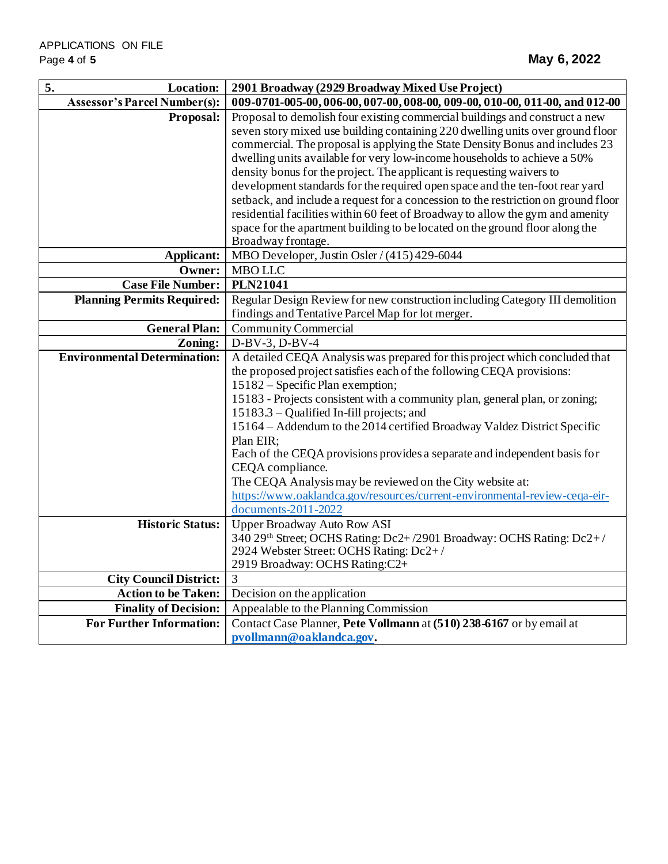| 5.<br>Location:                     | 2901 Broadway (2929 Broadway Mixed Use Project)                                    |
|-------------------------------------|------------------------------------------------------------------------------------|
| <b>Assessor's Parcel Number(s):</b> | 009-0701-005-00, 006-00, 007-00, 008-00, 009-00, 010-00, 011-00, and 012-00        |
| Proposal:                           | Proposal to demolish four existing commercial buildings and construct a new        |
|                                     | seven story mixed use building containing 220 dwelling units over ground floor     |
|                                     | commercial. The proposal is applying the State Density Bonus and includes 23       |
|                                     | dwelling units available for very low-income households to achieve a 50%           |
|                                     | density bonus for the project. The applicant is requesting waivers to              |
|                                     | development standards for the required open space and the ten-foot rear yard       |
|                                     | setback, and include a request for a concession to the restriction on ground floor |
|                                     | residential facilities within 60 feet of Broadway to allow the gym and amenity     |
|                                     | space for the apartment building to be located on the ground floor along the       |
|                                     | Broadway frontage.                                                                 |
| Applicant:                          | MBO Developer, Justin Osler / (415) 429-6044                                       |
| Owner:                              | <b>MBO LLC</b>                                                                     |
| <b>Case File Number:</b>            | <b>PLN21041</b>                                                                    |
| <b>Planning Permits Required:</b>   | Regular Design Review for new construction including Category III demolition       |
|                                     | findings and Tentative Parcel Map for lot merger.                                  |
| <b>General Plan:</b>                | <b>Community Commercial</b>                                                        |
| Zoning:                             | $D-BV-3$ , $D-BV-4$                                                                |
| <b>Environmental Determination:</b> | A detailed CEQA Analysis was prepared for this project which concluded that        |
|                                     | the proposed project satisfies each of the following CEQA provisions:              |
|                                     | 15182 – Specific Plan exemption;                                                   |
|                                     | 15183 - Projects consistent with a community plan, general plan, or zoning;        |
|                                     | 15183.3 – Qualified In-fill projects; and                                          |
|                                     | 15164 – Addendum to the 2014 certified Broadway Valdez District Specific           |
|                                     | Plan EIR;                                                                          |
|                                     | Each of the CEQA provisions provides a separate and independent basis for          |
|                                     | CEQA compliance.                                                                   |
|                                     | The CEQA Analysis may be reviewed on the City website at:                          |
|                                     | https://www.oaklandca.gov/resources/current-environmental-review-ceqa-eir-         |
|                                     | documents-2011-2022                                                                |
| <b>Historic Status:</b>             | <b>Upper Broadway Auto Row ASI</b>                                                 |
|                                     | 340 29th Street; OCHS Rating: Dc2+/2901 Broadway: OCHS Rating: Dc2+/               |
|                                     | 2924 Webster Street: OCHS Rating: Dc2+/                                            |
| <b>City Council District:</b>       | 2919 Broadway: OCHS Rating:C2+<br>3                                                |
|                                     |                                                                                    |
| <b>Action to be Taken:</b>          | Decision on the application                                                        |
| <b>Finality of Decision:</b>        | Appealable to the Planning Commission                                              |
| <b>For Further Information:</b>     | Contact Case Planner, Pete Vollmann at (510) 238-6167 or by email at               |
|                                     | pvollmann@oaklandca.gov.                                                           |